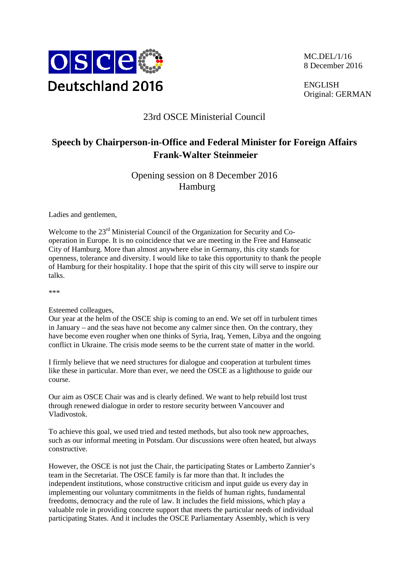

MC.DEL/1/16 8 December 2016

ENGLISH Original: GERMAN

## 23rd OSCE Ministerial Council

## **Speech by Chairperson-in-Office and Federal Minister for Foreign Affairs Frank-Walter Steinmeier**

Opening session on 8 December 2016 Hamburg

Ladies and gentlemen,

Welcome to the  $23<sup>rd</sup>$  Ministerial Council of the Organization for Security and Cooperation in Europe. It is no coincidence that we are meeting in the Free and Hanseatic City of Hamburg. More than almost anywhere else in Germany, this city stands for openness, tolerance and diversity. I would like to take this opportunity to thank the people of Hamburg for their hospitality. I hope that the spirit of this city will serve to inspire our talks.

\*\*\*

Esteemed colleagues,

Our year at the helm of the OSCE ship is coming to an end. We set off in turbulent times in January – and the seas have not become any calmer since then. On the contrary, they have become even rougher when one thinks of Syria, Iraq, Yemen, Libya and the ongoing conflict in Ukraine. The crisis mode seems to be the current state of matter in the world.

I firmly believe that we need structures for dialogue and cooperation at turbulent times like these in particular. More than ever, we need the OSCE as a lighthouse to guide our course.

Our aim as OSCE Chair was and is clearly defined. We want to help rebuild lost trust through renewed dialogue in order to restore security between Vancouver and Vladivostok.

To achieve this goal, we used tried and tested methods, but also took new approaches, such as our informal meeting in Potsdam. Our discussions were often heated, but always constructive.

However, the OSCE is not just the Chair, the participating States or Lamberto Zannier's team in the Secretariat. The OSCE family is far more than that. It includes the independent institutions, whose constructive criticism and input guide us every day in implementing our voluntary commitments in the fields of human rights, fundamental freedoms, democracy and the rule of law. It includes the field missions, which play a valuable role in providing concrete support that meets the particular needs of individual participating States. And it includes the OSCE Parliamentary Assembly, which is very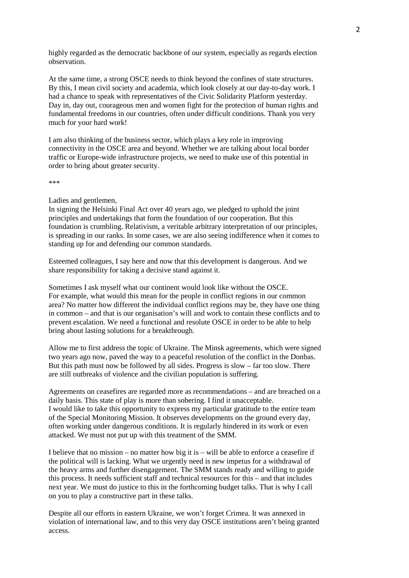highly regarded as the democratic backbone of our system, especially as regards election observation.

At the same time, a strong OSCE needs to think beyond the confines of state structures. By this, I mean civil society and academia, which look closely at our day-to-day work. I had a chance to speak with representatives of the Civic Solidarity Platform yesterday. Day in, day out, courageous men and women fight for the protection of human rights and fundamental freedoms in our countries, often under difficult conditions. Thank you very much for your hard work!

I am also thinking of the business sector, which plays a key role in improving connectivity in the OSCE area and beyond. Whether we are talking about local border traffic or Europe-wide infrastructure projects, we need to make use of this potential in order to bring about greater security.

\*\*\*

## Ladies and gentlemen,

In signing the Helsinki Final Act over 40 years ago, we pledged to uphold the joint principles and undertakings that form the foundation of our cooperation. But this foundation is crumbling. Relativism, a veritable arbitrary interpretation of our principles, is spreading in our ranks. In some cases, we are also seeing indifference when it comes to standing up for and defending our common standards.

Esteemed colleagues, I say here and now that this development is dangerous. And we share responsibility for taking a decisive stand against it.

Sometimes I ask myself what our continent would look like without the OSCE. For example, what would this mean for the people in conflict regions in our common area? No matter how different the individual conflict regions may be, they have one thing in common – and that is our organisation's will and work to contain these conflicts and to prevent escalation. We need a functional and resolute OSCE in order to be able to help bring about lasting solutions for a breakthrough.

Allow me to first address the topic of Ukraine. The Minsk agreements, which were signed two years ago now, paved the way to a peaceful resolution of the conflict in the Donbas. But this path must now be followed by all sides. Progress is slow – far too slow. There are still outbreaks of violence and the civilian population is suffering.

Agreements on ceasefires are regarded more as recommendations – and are breached on a daily basis. This state of play is more than sobering. I find it unacceptable. I would like to take this opportunity to express my particular gratitude to the entire team of the Special Monitoring Mission. It observes developments on the ground every day, often working under dangerous conditions. It is regularly hindered in its work or even attacked. We must not put up with this treatment of the SMM.

I believe that no mission – no matter how big it is – will be able to enforce a ceasefire if the political will is lacking. What we urgently need is new impetus for a withdrawal of the heavy arms and further disengagement. The SMM stands ready and willing to guide this process. It needs sufficient staff and technical resources for this – and that includes next year. We must do justice to this in the forthcoming budget talks. That is why I call on you to play a constructive part in these talks.

Despite all our efforts in eastern Ukraine, we won't forget Crimea. It was annexed in violation of international law, and to this very day OSCE institutions aren't being granted access.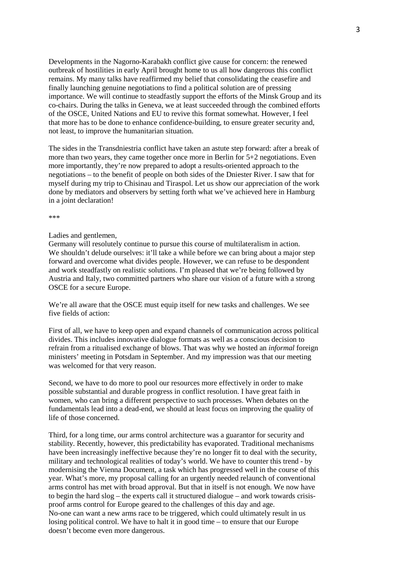Developments in the Nagorno-Karabakh conflict give cause for concern: the renewed outbreak of hostilities in early April brought home to us all how dangerous this conflict remains. My many talks have reaffirmed my belief that consolidating the ceasefire and finally launching genuine negotiations to find a political solution are of pressing importance. We will continue to steadfastly support the efforts of the Minsk Group and its co-chairs. During the talks in Geneva, we at least succeeded through the combined efforts of the OSCE, United Nations and EU to revive this format somewhat. However, I feel that more has to be done to enhance confidence-building, to ensure greater security and, not least, to improve the humanitarian situation.

The sides in the Transdniestria conflict have taken an astute step forward: after a break of more than two years, they came together once more in Berlin for 5+2 negotiations. Even more importantly, they're now prepared to adopt a results-oriented approach to the negotiations – to the benefit of people on both sides of the Dniester River. I saw that for myself during my trip to Chisinau and Tiraspol. Let us show our appreciation of the work done by mediators and observers by setting forth what we've achieved here in Hamburg in a joint declaration!

\*\*\*

## Ladies and gentlemen,

Germany will resolutely continue to pursue this course of multilateralism in action. We shouldn't delude ourselves: it'll take a while before we can bring about a major step forward and overcome what divides people. However, we can refuse to be despondent and work steadfastly on realistic solutions. I'm pleased that we're being followed by Austria and Italy, two committed partners who share our vision of a future with a strong OSCE for a secure Europe.

We're all aware that the OSCE must equip itself for new tasks and challenges. We see five fields of action:

First of all, we have to keep open and expand channels of communication across political divides. This includes innovative dialogue formats as well as a conscious decision to refrain from a ritualised exchange of blows. That was why we hosted an *informal* foreign ministers' meeting in Potsdam in September. And my impression was that our meeting was welcomed for that very reason.

Second, we have to do more to pool our resources more effectively in order to make possible substantial and durable progress in conflict resolution. I have great faith in women, who can bring a different perspective to such processes. When debates on the fundamentals lead into a dead-end, we should at least focus on improving the quality of life of those concerned.

Third, for a long time, our arms control architecture was a guarantor for security and stability. Recently, however, this predictability has evaporated. Traditional mechanisms have been increasingly ineffective because they're no longer fit to deal with the security, military and technological realities of today's world. We have to counter this trend - by modernising the Vienna Document, a task which has progressed well in the course of this year. What's more, my proposal calling for an urgently needed relaunch of conventional arms control has met with broad approval. But that in itself is not enough. We now have to begin the hard slog – the experts call it structured dialogue – and work towards crisisproof arms control for Europe geared to the challenges of this day and age. No-one can want a new arms race to be triggered, which could ultimately result in us losing political control. We have to halt it in good time – to ensure that our Europe doesn't become even more dangerous.